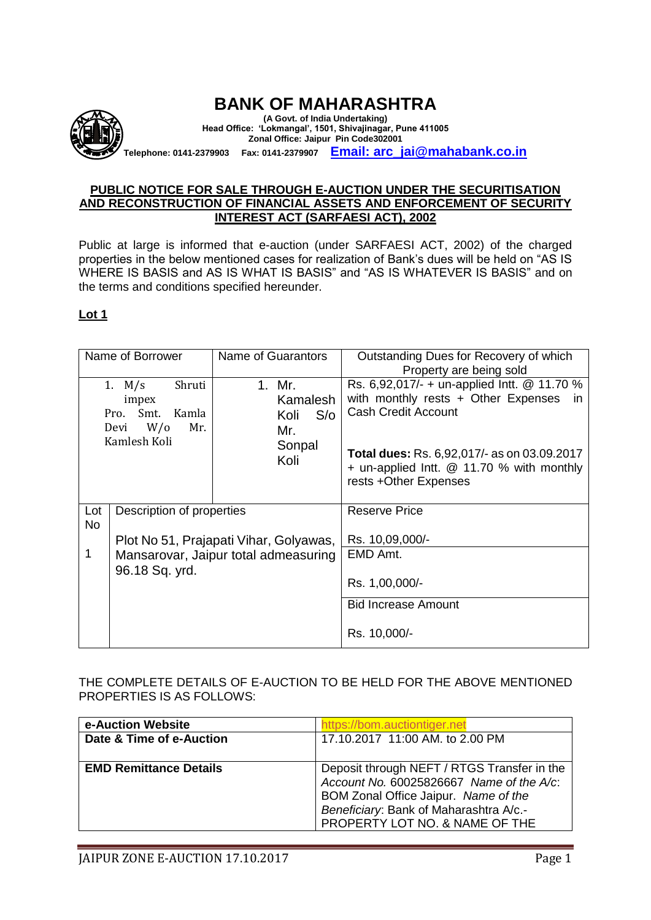

## **PUBLIC NOTICE FOR SALE THROUGH E-AUCTION UNDER THE SECURITISATION AND RECONSTRUCTION OF FINANCIAL ASSETS AND ENFORCEMENT OF SECURITY INTEREST ACT (SARFAESI ACT), 2002**

Public at large is informed that e-auction (under SARFAESI ACT, 2002) of the charged properties in the below mentioned cases for realization of Bank's dues will be held on "AS IS WHERE IS BASIS and AS IS WHAT IS BASIS" and "AS IS WHATEVER IS BASIS" and on the terms and conditions specified hereunder.

## **Lot 1**

| Name of Borrower |                                                                                            | Name of Guarantors                                         | Outstanding Dues for Recovery of which<br>Property are being sold                                                                                                                                                                                   |
|------------------|--------------------------------------------------------------------------------------------|------------------------------------------------------------|-----------------------------------------------------------------------------------------------------------------------------------------------------------------------------------------------------------------------------------------------------|
|                  | 1. $M/s$<br>Shruti<br>impex<br>Smt.<br>Kamla<br>Pro.<br>W/O<br>Mr.<br>Devi<br>Kamlesh Koli | 1. Mr.<br>Kamalesh<br>Koli<br>S/O<br>Mr.<br>Sonpal<br>Koli | Rs. 6,92,017/- + un-applied Intt. @ 11.70 %<br>with monthly rests + Other Expenses<br>in.<br><b>Cash Credit Account</b><br><b>Total dues: Rs. 6,92,017/- as on 03.09.2017</b><br>+ un-applied Intt. @ 11.70 % with monthly<br>rests +Other Expenses |
| Lot<br><b>No</b> | Description of properties                                                                  |                                                            | <b>Reserve Price</b>                                                                                                                                                                                                                                |
|                  | Plot No 51, Prajapati Vihar, Golyawas,                                                     |                                                            | Rs. 10,09,000/-                                                                                                                                                                                                                                     |
| 1                | Mansarovar, Jaipur total admeasuring                                                       |                                                            | EMD Amt.                                                                                                                                                                                                                                            |
|                  | 96.18 Sq. yrd.                                                                             |                                                            | Rs. 1,00,000/-                                                                                                                                                                                                                                      |
|                  |                                                                                            |                                                            | <b>Bid Increase Amount</b>                                                                                                                                                                                                                          |
|                  |                                                                                            |                                                            | Rs. 10,000/-                                                                                                                                                                                                                                        |

THE COMPLETE DETAILS OF E-AUCTION TO BE HELD FOR THE ABOVE MENTIONED PROPERTIES IS AS FOLLOWS:

| e-Auction Website             | https://bom.auctiontiger.net                                                                                                                                                                                   |
|-------------------------------|----------------------------------------------------------------------------------------------------------------------------------------------------------------------------------------------------------------|
| Date & Time of e-Auction      | 17.10.2017 11:00 AM. to 2.00 PM                                                                                                                                                                                |
|                               |                                                                                                                                                                                                                |
| <b>EMD Remittance Details</b> | Deposit through NEFT / RTGS Transfer in the<br>Account No. 60025826667 Name of the $A$ /c:<br>BOM Zonal Office Jaipur. Name of the<br>Beneficiary: Bank of Maharashtra A/c.-<br>PROPERTY LOT NO. & NAME OF THE |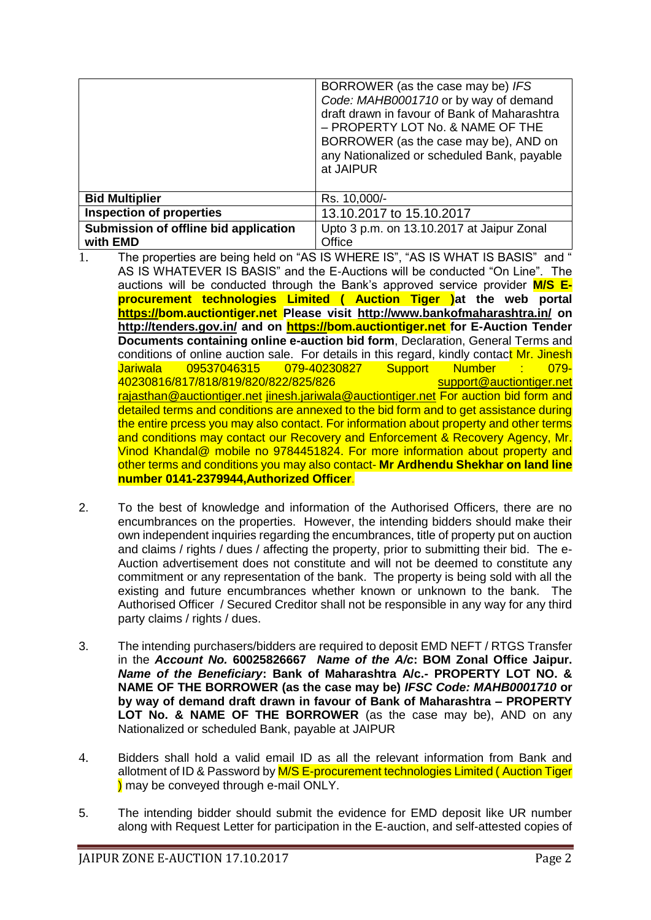|                                                   | BORROWER (as the case may be) IFS<br>Code: MAHB0001710 or by way of demand<br>draft drawn in favour of Bank of Maharashtra<br>- PROPERTY LOT No. & NAME OF THE<br>BORROWER (as the case may be), AND on<br>any Nationalized or scheduled Bank, payable<br>at JAIPUR |
|---------------------------------------------------|---------------------------------------------------------------------------------------------------------------------------------------------------------------------------------------------------------------------------------------------------------------------|
| <b>Bid Multiplier</b>                             | Rs. 10,000/-                                                                                                                                                                                                                                                        |
| <b>Inspection of properties</b>                   | 13.10.2017 to 15.10.2017                                                                                                                                                                                                                                            |
| Submission of offline bid application<br>with EMD | Upto 3 p.m. on 13.10.2017 at Jaipur Zonal<br>Office                                                                                                                                                                                                                 |

- 1. The properties are being held on "AS IS WHERE IS", "AS IS WHAT IS BASIS" and " AS IS WHATEVER IS BASIS" and the E-Auctions will be conducted "On Line". The auctions will be conducted through the Bank's approved service provider **M/S Eprocurement technologies Limited ( Auction Tiger )at the web portal [https://b](https://eauction.npasource.com/)om.auctiontiger.net Please visit <http://www.bankofmaharashtra.in/> on <http://tenders.gov.in/> and on [https://b](https://eauction.npasource.com/)om.auctiontiger.net for E-Auction Tender Documents containing online e-auction bid form**, Declaration, General Terms and conditions of online auction sale. For details in this regard, kindly contact Mr. Jinesh Jariwala 09537046315 079-40230827 Support Number : 079- 40230816/817/818/819/820/822/825/826 [support@auctiontiger.net](mailto:support@auctiontiger.net)  [rajasthan@auctiontiger.net](mailto:rajasthan@auctiontiger.net) [jinesh.jariwala@auctiontiger.net](mailto:jinesh.jariwala@auctiontiger.net) For auction bid form and detailed terms and conditions are annexed to the bid form and to get assistance during the entire prcess you may also contact. For information about property and other terms and conditions may contact our Recovery and Enforcement & Recovery Agency, Mr. Vinod Khandal@ mobile no 9784451824. For more information about property and other terms and conditions you may also contact- **Mr Ardhendu Shekhar on land line number 0141-2379944,Authorized Officer**.
- 2. To the best of knowledge and information of the Authorised Officers, there are no encumbrances on the properties. However, the intending bidders should make their own independent inquiries regarding the encumbrances, title of property put on auction and claims / rights / dues / affecting the property, prior to submitting their bid. The e-Auction advertisement does not constitute and will not be deemed to constitute any commitment or any representation of the bank. The property is being sold with all the existing and future encumbrances whether known or unknown to the bank. The Authorised Officer / Secured Creditor shall not be responsible in any way for any third party claims / rights / dues.
- 3. The intending purchasers/bidders are required to deposit EMD NEFT / RTGS Transfer in the *Account No.* **60025826667** *Name of the A/c***: BOM Zonal Office Jaipur.**  *Name of the Beneficiary***: Bank of Maharashtra A/c.- PROPERTY LOT NO. & NAME OF THE BORROWER (as the case may be)** *IFSC Code: MAHB0001710* **or by way of demand draft drawn in favour of Bank of Maharashtra – PROPERTY LOT No. & NAME OF THE BORROWER** (as the case may be), AND on any Nationalized or scheduled Bank, payable at JAIPUR
- 4. Bidders shall hold a valid email ID as all the relevant information from Bank and allotment of ID & Password by M/S E-procurement technologies Limited (Auction Tiger ) may be conveyed through e-mail ONLY.
- 5. The intending bidder should submit the evidence for EMD deposit like UR number along with Request Letter for participation in the E-auction, and self-attested copies of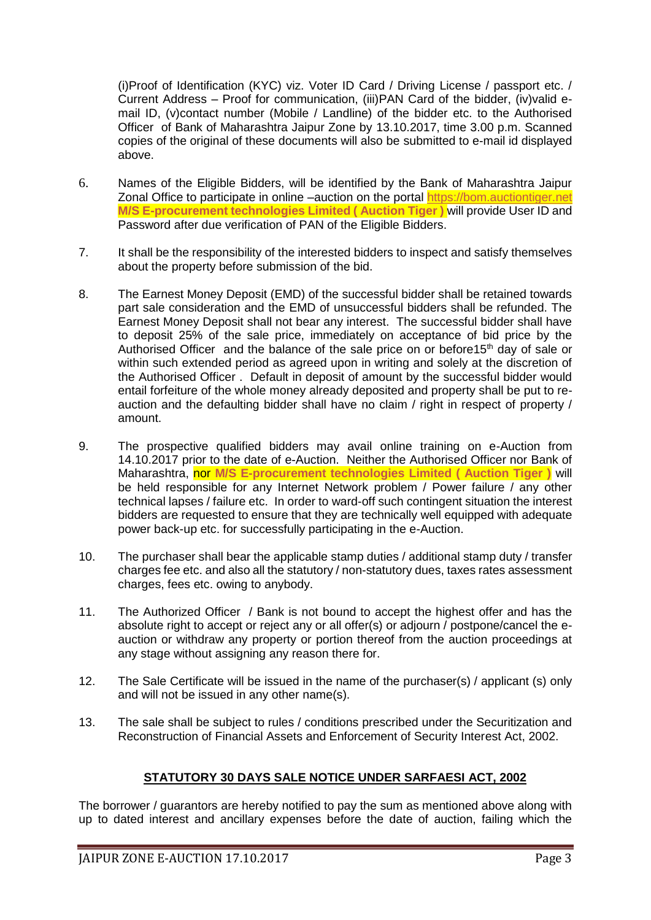(i)Proof of Identification (KYC) viz. Voter ID Card / Driving License / passport etc. / Current Address – Proof for communication, (iii)PAN Card of the bidder, (iv)valid email ID, (v)contact number (Mobile / Landline) of the bidder etc. to the Authorised Officer of Bank of Maharashtra Jaipur Zone by 13.10.2017, time 3.00 p.m. Scanned copies of the original of these documents will also be submitted to e-mail id displayed above.

- 6. Names of the Eligible Bidders, will be identified by the Bank of Maharashtra Jaipur Zonal Office to participate in online –auction on the portal [https://bom.auctiontiger.net](https://bom.auctiontiger.net/) **M/S E-procurement technologies Limited ( Auction Tiger )** will provide User ID and Password after due verification of PAN of the Eligible Bidders.
- 7. It shall be the responsibility of the interested bidders to inspect and satisfy themselves about the property before submission of the bid.
- 8. The Earnest Money Deposit (EMD) of the successful bidder shall be retained towards part sale consideration and the EMD of unsuccessful bidders shall be refunded. The Earnest Money Deposit shall not bear any interest. The successful bidder shall have to deposit 25% of the sale price, immediately on acceptance of bid price by the Authorised Officer and the balance of the sale price on or before  $15<sup>th</sup>$  day of sale or within such extended period as agreed upon in writing and solely at the discretion of the Authorised Officer . Default in deposit of amount by the successful bidder would entail forfeiture of the whole money already deposited and property shall be put to reauction and the defaulting bidder shall have no claim / right in respect of property / amount.
- 9. The prospective qualified bidders may avail online training on e-Auction from 14.10.2017 prior to the date of e-Auction. Neither the Authorised Officer nor Bank of Maharashtra, nor **M/S E-procurement technologies Limited ( Auction Tiger )** will be held responsible for any Internet Network problem / Power failure / any other technical lapses / failure etc. In order to ward-off such contingent situation the interest bidders are requested to ensure that they are technically well equipped with adequate power back-up etc. for successfully participating in the e-Auction.
- 10. The purchaser shall bear the applicable stamp duties / additional stamp duty / transfer charges fee etc. and also all the statutory / non-statutory dues, taxes rates assessment charges, fees etc. owing to anybody.
- 11. The Authorized Officer / Bank is not bound to accept the highest offer and has the absolute right to accept or reject any or all offer(s) or adjourn / postpone/cancel the eauction or withdraw any property or portion thereof from the auction proceedings at any stage without assigning any reason there for.
- 12. The Sale Certificate will be issued in the name of the purchaser(s) / applicant (s) only and will not be issued in any other name(s).
- 13. The sale shall be subject to rules / conditions prescribed under the Securitization and Reconstruction of Financial Assets and Enforcement of Security Interest Act, 2002.

## **STATUTORY 30 DAYS SALE NOTICE UNDER SARFAESI ACT, 2002**

The borrower / guarantors are hereby notified to pay the sum as mentioned above along with up to dated interest and ancillary expenses before the date of auction, failing which the